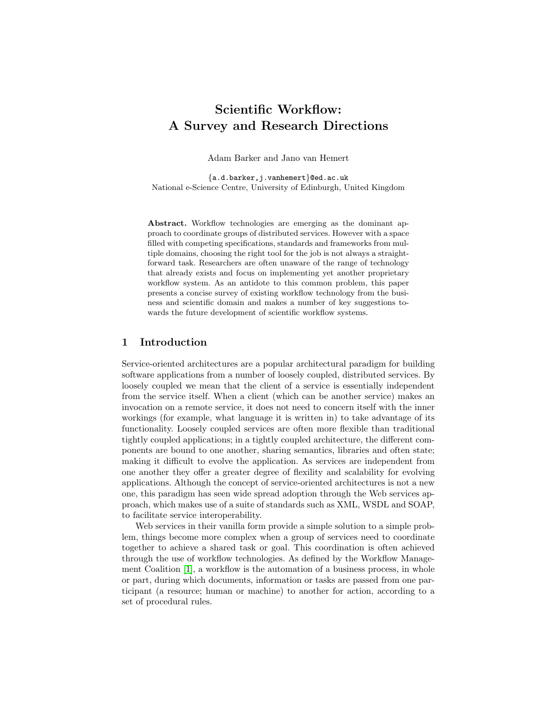# Scientific Workflow: A Survey and Research Directions

Adam Barker and Jano van Hemert

{a.d.barker,j.vanhemert}@ed.ac.uk National e-Science Centre, University of Edinburgh, United Kingdom

Abstract. Workflow technologies are emerging as the dominant approach to coordinate groups of distributed services. However with a space filled with competing specifications, standards and frameworks from multiple domains, choosing the right tool for the job is not always a straightforward task. Researchers are often unaware of the range of technology that already exists and focus on implementing yet another proprietary workflow system. As an antidote to this common problem, this paper presents a concise survey of existing workflow technology from the business and scientific domain and makes a number of key suggestions towards the future development of scientific workflow systems.

## 1 Introduction

Service-oriented architectures are a popular architectural paradigm for building software applications from a number of loosely coupled, distributed services. By loosely coupled we mean that the client of a service is essentially independent from the service itself. When a client (which can be another service) makes an invocation on a remote service, it does not need to concern itself with the inner workings (for example, what language it is written in) to take advantage of its functionality. Loosely coupled services are often more flexible than traditional tightly coupled applications; in a tightly coupled architecture, the different components are bound to one another, sharing semantics, libraries and often state; making it difficult to evolve the application. As services are independent from one another they offer a greater degree of flexility and scalability for evolving applications. Although the concept of service-oriented architectures is not a new one, this paradigm has seen wide spread adoption through the Web services approach, which makes use of a suite of standards such as XML, WSDL and SOAP, to facilitate service interoperability.

Web services in their vanilla form provide a simple solution to a simple problem, things become more complex when a group of services need to coordinate together to achieve a shared task or goal. This coordination is often achieved through the use of workflow technologies. As defined by the Workflow Management Coalition [\[1\]](#page-6-0), a workflow is the automation of a business process, in whole or part, during which documents, information or tasks are passed from one participant (a resource; human or machine) to another for action, according to a set of procedural rules.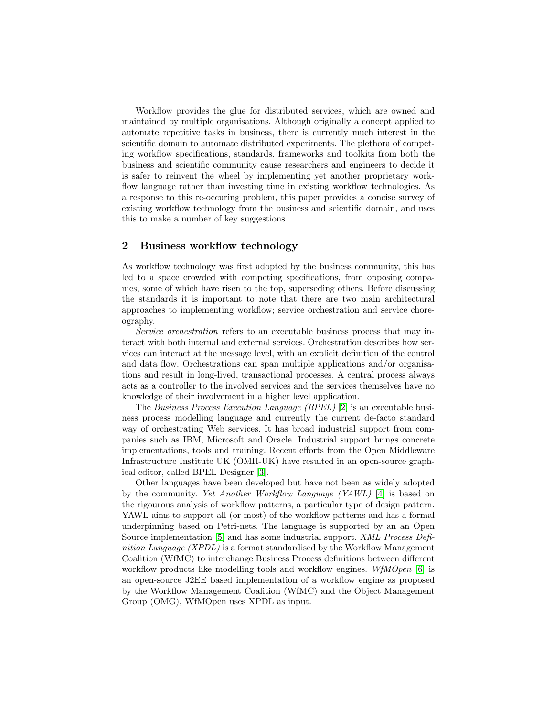Workflow provides the glue for distributed services, which are owned and maintained by multiple organisations. Although originally a concept applied to automate repetitive tasks in business, there is currently much interest in the scientific domain to automate distributed experiments. The plethora of competing workflow specifications, standards, frameworks and toolkits from both the business and scientific community cause researchers and engineers to decide it is safer to reinvent the wheel by implementing yet another proprietary workflow language rather than investing time in existing workflow technologies. As a response to this re-occuring problem, this paper provides a concise survey of existing workflow technology from the business and scientific domain, and uses this to make a number of key suggestions.

## 2 Business workflow technology

As workflow technology was first adopted by the business community, this has led to a space crowded with competing specifications, from opposing companies, some of which have risen to the top, superseding others. Before discussing the standards it is important to note that there are two main architectural approaches to implementing workflow; service orchestration and service choreography.

Service orchestration refers to an executable business process that may interact with both internal and external services. Orchestration describes how services can interact at the message level, with an explicit definition of the control and data flow. Orchestrations can span multiple applications and/or organisations and result in long-lived, transactional processes. A central process always acts as a controller to the involved services and the services themselves have no knowledge of their involvement in a higher level application.

The Business Process Execution Language (BPEL) [\[2\]](#page-6-1) is an executable business process modelling language and currently the current de-facto standard way of orchestrating Web services. It has broad industrial support from companies such as IBM, Microsoft and Oracle. Industrial support brings concrete implementations, tools and training. Recent efforts from the Open Middleware Infrastructure Institute UK (OMII-UK) have resulted in an open-source graphical editor, called BPEL Designer [\[3\]](#page-6-2).

Other languages have been developed but have not been as widely adopted by the community. Yet Another Workflow Language (YAWL) [\[4\]](#page-6-3) is based on the rigourous analysis of workflow patterns, a particular type of design pattern. YAWL aims to support all (or most) of the workflow patterns and has a formal underpinning based on Petri-nets. The language is supported by an an Open Source implementation [\[5\]](#page-7-0) and has some industrial support. XML Process Definition Language (XPDL) is a format standardised by the Workflow Management Coalition (WfMC) to interchange Business Process definitions between different workflow products like modelling tools and workflow engines. WfMOpen [\[6\]](#page-7-1) is an open-source J2EE based implementation of a workflow engine as proposed by the Workflow Management Coalition (WfMC) and the Object Management Group (OMG), WfMOpen uses XPDL as input.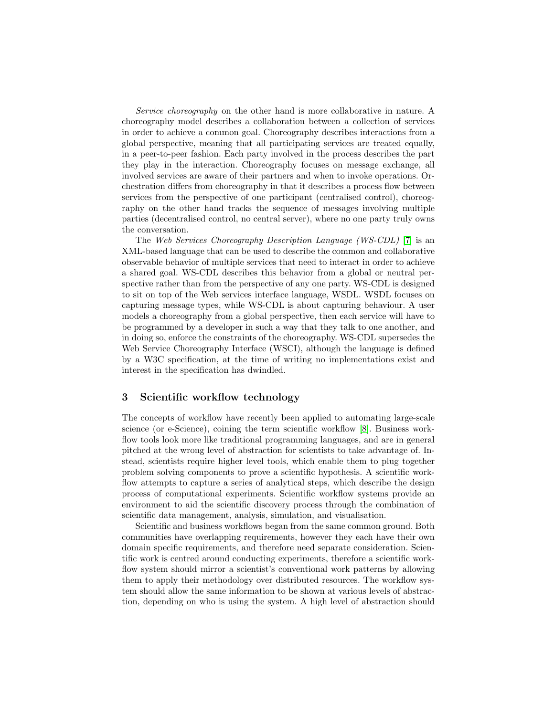Service choreography on the other hand is more collaborative in nature. A choreography model describes a collaboration between a collection of services in order to achieve a common goal. Choreography describes interactions from a global perspective, meaning that all participating services are treated equally, in a peer-to-peer fashion. Each party involved in the process describes the part they play in the interaction. Choreography focuses on message exchange, all involved services are aware of their partners and when to invoke operations. Orchestration differs from choreography in that it describes a process flow between services from the perspective of one participant (centralised control), choreography on the other hand tracks the sequence of messages involving multiple parties (decentralised control, no central server), where no one party truly owns the conversation.

The Web Services Choreography Description Language (WS-CDL) [\[7\]](#page-7-2) is an XML-based language that can be used to describe the common and collaborative observable behavior of multiple services that need to interact in order to achieve a shared goal. WS-CDL describes this behavior from a global or neutral perspective rather than from the perspective of any one party. WS-CDL is designed to sit on top of the Web services interface language, WSDL. WSDL focuses on capturing message types, while WS-CDL is about capturing behaviour. A user models a choreography from a global perspective, then each service will have to be programmed by a developer in such a way that they talk to one another, and in doing so, enforce the constraints of the choreography. WS-CDL supersedes the Web Service Choreography Interface (WSCI), although the language is defined by a W3C specification, at the time of writing no implementations exist and interest in the specification has dwindled.

## 3 Scientific workflow technology

The concepts of workflow have recently been applied to automating large-scale science (or e-Science), coining the term scientific workflow [\[8\]](#page-7-3). Business workflow tools look more like traditional programming languages, and are in general pitched at the wrong level of abstraction for scientists to take advantage of. Instead, scientists require higher level tools, which enable them to plug together problem solving components to prove a scientific hypothesis. A scientific workflow attempts to capture a series of analytical steps, which describe the design process of computational experiments. Scientific workflow systems provide an environment to aid the scientific discovery process through the combination of scientific data management, analysis, simulation, and visualisation.

Scientific and business workflows began from the same common ground. Both communities have overlapping requirements, however they each have their own domain specific requirements, and therefore need separate consideration. Scientific work is centred around conducting experiments, therefore a scientific workflow system should mirror a scientist's conventional work patterns by allowing them to apply their methodology over distributed resources. The workflow system should allow the same information to be shown at various levels of abstraction, depending on who is using the system. A high level of abstraction should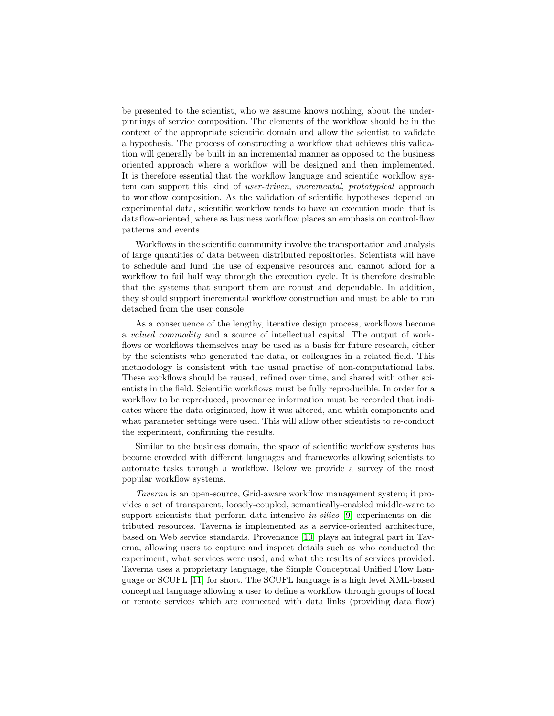be presented to the scientist, who we assume knows nothing, about the underpinnings of service composition. The elements of the workflow should be in the context of the appropriate scientific domain and allow the scientist to validate a hypothesis. The process of constructing a workflow that achieves this validation will generally be built in an incremental manner as opposed to the business oriented approach where a workflow will be designed and then implemented. It is therefore essential that the workflow language and scientific workflow system can support this kind of user-driven, incremental, prototypical approach to workflow composition. As the validation of scientific hypotheses depend on experimental data, scientific workflow tends to have an execution model that is dataflow-oriented, where as business workflow places an emphasis on control-flow patterns and events.

Workflows in the scientific community involve the transportation and analysis of large quantities of data between distributed repositories. Scientists will have to schedule and fund the use of expensive resources and cannot afford for a workflow to fail half way through the execution cycle. It is therefore desirable that the systems that support them are robust and dependable. In addition, they should support incremental workflow construction and must be able to run detached from the user console.

As a consequence of the lengthy, iterative design process, workflows become a valued commodity and a source of intellectual capital. The output of workflows or workflows themselves may be used as a basis for future research, either by the scientists who generated the data, or colleagues in a related field. This methodology is consistent with the usual practise of non-computational labs. These workflows should be reused, refined over time, and shared with other scientists in the field. Scientific workflows must be fully reproducible. In order for a workflow to be reproduced, provenance information must be recorded that indicates where the data originated, how it was altered, and which components and what parameter settings were used. This will allow other scientists to re-conduct the experiment, confirming the results.

Similar to the business domain, the space of scientific workflow systems has become crowded with different languages and frameworks allowing scientists to automate tasks through a workflow. Below we provide a survey of the most popular workflow systems.

Taverna is an open-source, Grid-aware workflow management system; it provides a set of transparent, loosely-coupled, semantically-enabled middle-ware to support scientists that perform data-intensive  $in-silico$  [\[9\]](#page-7-4) experiments on distributed resources. Taverna is implemented as a service-oriented architecture, based on Web service standards. Provenance [\[10\]](#page-7-5) plays an integral part in Taverna, allowing users to capture and inspect details such as who conducted the experiment, what services were used, and what the results of services provided. Taverna uses a proprietary language, the Simple Conceptual Unified Flow Language or SCUFL [\[11\]](#page-7-6) for short. The SCUFL language is a high level XML-based conceptual language allowing a user to define a workflow through groups of local or remote services which are connected with data links (providing data flow)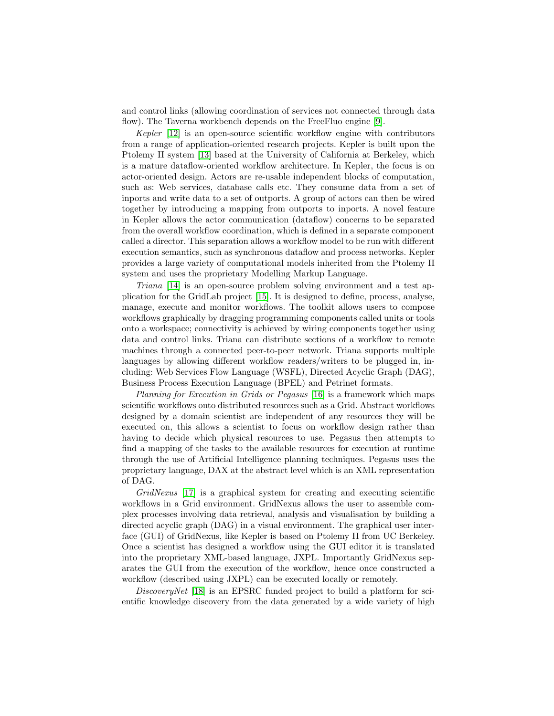and control links (allowing coordination of services not connected through data flow). The Taverna workbench depends on the FreeFluo engine [\[9\]](#page-7-4).

Kepler [\[12\]](#page-7-7) is an open-source scientific workflow engine with contributors from a range of application-oriented research projects. Kepler is built upon the Ptolemy II system [\[13\]](#page-7-8) based at the University of California at Berkeley, which is a mature dataflow-oriented workflow architecture. In Kepler, the focus is on actor-oriented design. Actors are re-usable independent blocks of computation, such as: Web services, database calls etc. They consume data from a set of inports and write data to a set of outports. A group of actors can then be wired together by introducing a mapping from outports to inports. A novel feature in Kepler allows the actor communication (dataflow) concerns to be separated from the overall workflow coordination, which is defined in a separate component called a director. This separation allows a workflow model to be run with different execution semantics, such as synchronous dataflow and process networks. Kepler provides a large variety of computational models inherited from the Ptolemy II system and uses the proprietary Modelling Markup Language.

Triana [\[14\]](#page-7-9) is an open-source problem solving environment and a test application for the GridLab project [\[15\]](#page-7-10). It is designed to define, process, analyse, manage, execute and monitor workflows. The toolkit allows users to compose workflows graphically by dragging programming components called units or tools onto a workspace; connectivity is achieved by wiring components together using data and control links. Triana can distribute sections of a workflow to remote machines through a connected peer-to-peer network. Triana supports multiple languages by allowing different workflow readers/writers to be plugged in, including: Web Services Flow Language (WSFL), Directed Acyclic Graph (DAG), Business Process Execution Language (BPEL) and Petrinet formats.

Planning for Execution in Grids or Pegasus [\[16\]](#page-7-11) is a framework which maps scientific workflows onto distributed resources such as a Grid. Abstract workflows designed by a domain scientist are independent of any resources they will be executed on, this allows a scientist to focus on workflow design rather than having to decide which physical resources to use. Pegasus then attempts to find a mapping of the tasks to the available resources for execution at runtime through the use of Artificial Intelligence planning techniques. Pegasus uses the proprietary language, DAX at the abstract level which is an XML representation of DAG.

GridNexus [\[17\]](#page-7-12) is a graphical system for creating and executing scientific workflows in a Grid environment. GridNexus allows the user to assemble complex processes involving data retrieval, analysis and visualisation by building a directed acyclic graph (DAG) in a visual environment. The graphical user interface (GUI) of GridNexus, like Kepler is based on Ptolemy II from UC Berkeley. Once a scientist has designed a workflow using the GUI editor it is translated into the proprietary XML-based language, JXPL. Importantly GridNexus separates the GUI from the execution of the workflow, hence once constructed a workflow (described using JXPL) can be executed locally or remotely.

DiscoveryNet [\[18\]](#page-7-13) is an EPSRC funded project to build a platform for scientific knowledge discovery from the data generated by a wide variety of high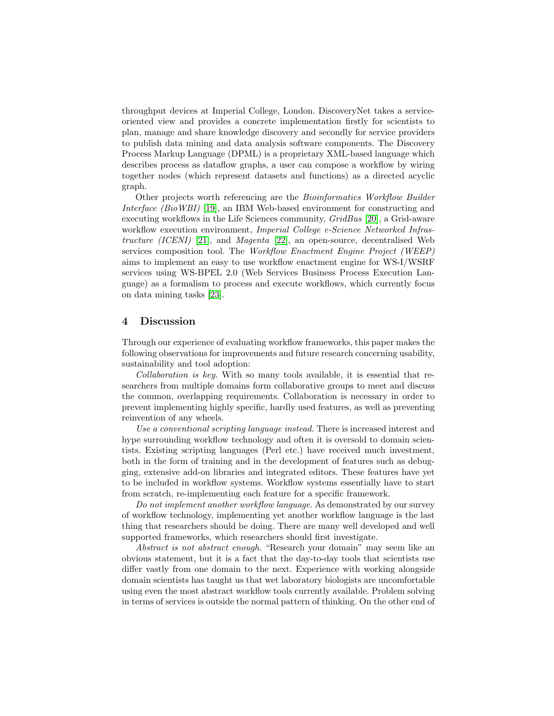throughput devices at Imperial College, London. DiscoveryNet takes a serviceoriented view and provides a concrete implementation firstly for scientists to plan, manage and share knowledge discovery and secondly for service providers to publish data mining and data analysis software components. The Discovery Process Markup Language (DPML) is a proprietary XML-based language which describes process as dataflow graphs, a user can compose a workflow by wiring together nodes (which represent datasets and functions) as a directed acyclic graph.

Other projects worth referencing are the Bioinformatics Workflow Builder Interface (BioWBI) [\[19\]](#page-7-14), an IBM Web-based environment for constructing and executing workflows in the Life Sciences community, GridBus [\[20\]](#page-7-15), a Grid-aware workflow execution environment, Imperial College e-Science Networked Infrastructure (ICENI) [\[21\]](#page-7-16), and Magenta [\[22\]](#page-7-17), an open-source, decentralised Web services composition tool. The Workflow Enactment Engine Project (WEEP) aims to implement an easy to use workflow enactment engine for WS-I/WSRF services using WS-BPEL 2.0 (Web Services Business Process Execution Language) as a formalism to process and execute workflows, which currently focus on data mining tasks [\[23\]](#page-7-18).

#### 4 Discussion

Through our experience of evaluating workflow frameworks, this paper makes the following observations for improvements and future research concerning usability, sustainability and tool adoption:

Collaboration is key. With so many tools available, it is essential that researchers from multiple domains form collaborative groups to meet and discuss the common, overlapping requirements. Collaboration is necessary in order to prevent implementing highly specific, hardly used features, as well as preventing reinvention of any wheels.

Use a conventional scripting language instead. There is increased interest and hype surrounding workflow technology and often it is oversold to domain scientists. Existing scripting languages (Perl etc.) have received much investment, both in the form of training and in the development of features such as debugging, extensive add-on libraries and integrated editors. These features have yet to be included in workflow systems. Workflow systems essentially have to start from scratch, re-implementing each feature for a specific framework.

Do not implement another workflow language. As demonstrated by our survey of workflow technology, implementing yet another workflow language is the last thing that researchers should be doing. There are many well developed and well supported frameworks, which researchers should first investigate.

Abstract is not abstract enough. "Research your domain" may seem like an obvious statement, but it is a fact that the day-to-day tools that scientists use differ vastly from one domain to the next. Experience with working alongside domain scientists has taught us that wet laboratory biologists are uncomfortable using even the most abstract workflow tools currently available. Problem solving in terms of services is outside the normal pattern of thinking. On the other end of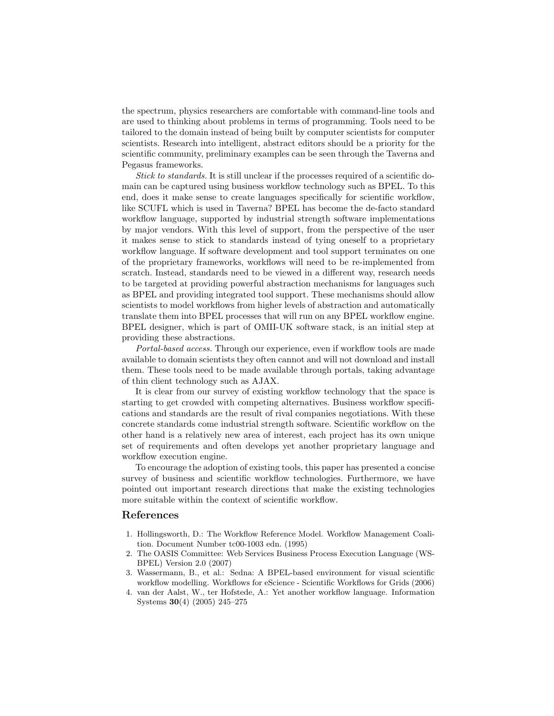the spectrum, physics researchers are comfortable with command-line tools and are used to thinking about problems in terms of programming. Tools need to be tailored to the domain instead of being built by computer scientists for computer scientists. Research into intelligent, abstract editors should be a priority for the scientific community, preliminary examples can be seen through the Taverna and Pegasus frameworks.

Stick to standards. It is still unclear if the processes required of a scientific domain can be captured using business workflow technology such as BPEL. To this end, does it make sense to create languages specifically for scientific workflow, like SCUFL which is used in Taverna? BPEL has become the de-facto standard workflow language, supported by industrial strength software implementations by major vendors. With this level of support, from the perspective of the user it makes sense to stick to standards instead of tying oneself to a proprietary workflow language. If software development and tool support terminates on one of the proprietary frameworks, workflows will need to be re-implemented from scratch. Instead, standards need to be viewed in a different way, research needs to be targeted at providing powerful abstraction mechanisms for languages such as BPEL and providing integrated tool support. These mechanisms should allow scientists to model workflows from higher levels of abstraction and automatically translate them into BPEL processes that will run on any BPEL workflow engine. BPEL designer, which is part of OMII-UK software stack, is an initial step at providing these abstractions.

Portal-based access. Through our experience, even if workflow tools are made available to domain scientists they often cannot and will not download and install them. These tools need to be made available through portals, taking advantage of thin client technology such as AJAX.

It is clear from our survey of existing workflow technology that the space is starting to get crowded with competing alternatives. Business workflow specifications and standards are the result of rival companies negotiations. With these concrete standards come industrial strength software. Scientific workflow on the other hand is a relatively new area of interest, each project has its own unique set of requirements and often develops yet another proprietary language and workflow execution engine.

To encourage the adoption of existing tools, this paper has presented a concise survey of business and scientific workflow technologies. Furthermore, we have pointed out important research directions that make the existing technologies more suitable within the context of scientific workflow.

#### References

- <span id="page-6-0"></span>1. Hollingsworth, D.: The Workflow Reference Model. Workflow Management Coalition. Document Number tc00-1003 edn. (1995)
- <span id="page-6-1"></span>2. The OASIS Committee: Web Services Business Process Execution Language (WS-BPEL) Version 2.0 (2007)
- <span id="page-6-2"></span>3. Wassermann, B., et al.: Sedna: A BPEL-based environment for visual scientific workflow modelling. Workflows for eScience - Scientific Workflows for Grids (2006)
- <span id="page-6-3"></span>4. van der Aalst, W., ter Hofstede, A.: Yet another workflow language. Information Systems 30(4) (2005) 245–275